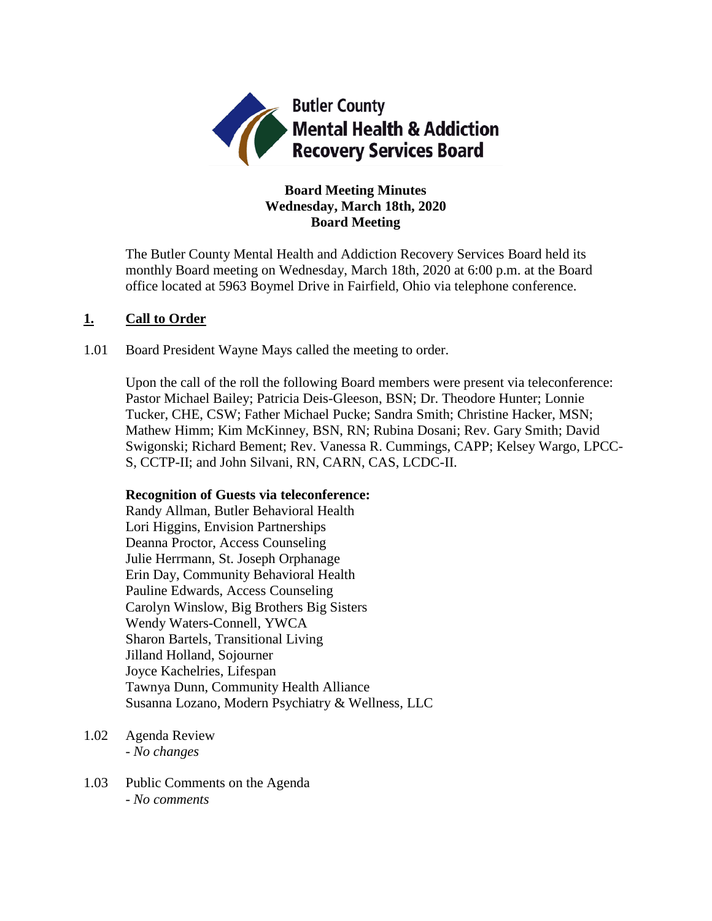

## **Board Meeting Minutes Wednesday, March 18th, 2020 Board Meeting**

The Butler County Mental Health and Addiction Recovery Services Board held its monthly Board meeting on Wednesday, March 18th, 2020 at 6:00 p.m. at the Board office located at 5963 Boymel Drive in Fairfield, Ohio via telephone conference.

### **1. Call to Order**

1.01 Board President Wayne Mays called the meeting to order.

Upon the call of the roll the following Board members were present via teleconference: Pastor Michael Bailey; Patricia Deis-Gleeson, BSN; Dr. Theodore Hunter; Lonnie Tucker, CHE, CSW; Father Michael Pucke; Sandra Smith; Christine Hacker, MSN; Mathew Himm; Kim McKinney, BSN, RN; Rubina Dosani; Rev. Gary Smith; David Swigonski; Richard Bement; Rev. Vanessa R. Cummings, CAPP; Kelsey Wargo, LPCC-S, CCTP-II; and John Silvani, RN, CARN, CAS, LCDC-II.

#### **Recognition of Guests via teleconference:**

Randy Allman, Butler Behavioral Health Lori Higgins, Envision Partnerships Deanna Proctor, Access Counseling Julie Herrmann, St. Joseph Orphanage Erin Day, Community Behavioral Health Pauline Edwards, Access Counseling Carolyn Winslow, Big Brothers Big Sisters Wendy Waters-Connell, YWCA Sharon Bartels, Transitional Living Jilland Holland, Sojourner Joyce Kachelries, Lifespan Tawnya Dunn, Community Health Alliance Susanna Lozano, Modern Psychiatry & Wellness, LLC

- 1.02 Agenda Review *- No changes*
- 1.03 Public Comments on the Agenda - *No comments*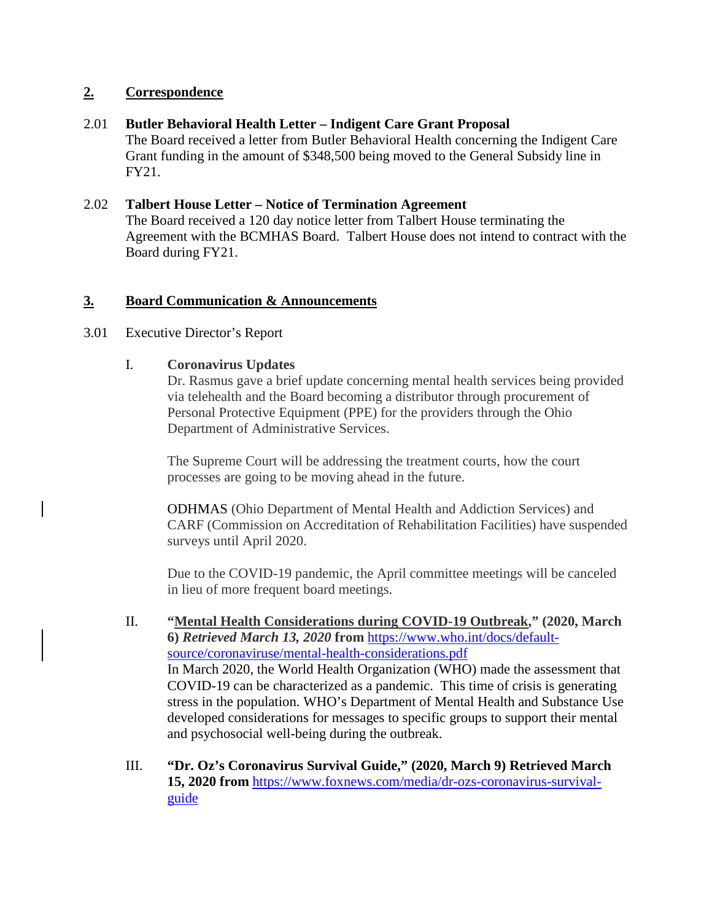## **2. Correspondence**

## 2.01 **Butler Behavioral Health Letter – Indigent Care Grant Proposal**

The Board received a letter from Butler Behavioral Health concerning the Indigent Care Grant funding in the amount of \$348,500 being moved to the General Subsidy line in FY21.

## 2.02 **Talbert House Letter – Notice of Termination Agreement**

The Board received a 120 day notice letter from Talbert House terminating the Agreement with the BCMHAS Board. Talbert House does not intend to contract with the Board during FY21.

## **3. Board Communication & Announcements**

## 3.01 Executive Director's Report

## I. **Coronavirus Updates**

Dr. Rasmus gave a brief update concerning mental health services being provided via telehealth and the Board becoming a distributor through procurement of Personal Protective Equipment (PPE) for the providers through the Ohio Department of Administrative Services.

The Supreme Court will be addressing the treatment courts, how the court processes are going to be moving ahead in the future.

ODHMAS (Ohio Department of Mental Health and Addiction Services) and CARF (Commission on Accreditation of Rehabilitation Facilities) have suspended surveys until April 2020.

Due to the COVID-19 pandemic, the April committee meetings will be canceled in lieu of more frequent board meetings.

- II. **"Mental Health Considerations during COVID-19 Outbreak," (2020, March 6)** *Retrieved March 13, 2020* **from** [https://www.who.int/docs/default](https://www.who.int/docs/default-source/coronaviruse/mental-health-considerations.pdf)[source/coronaviruse/mental-health-considerations.pdf](https://www.who.int/docs/default-source/coronaviruse/mental-health-considerations.pdf) In March 2020, the World Health Organization (WHO) made the assessment that COVID-19 can be characterized as a pandemic. This time of crisis is generating stress in the population. WHO's Department of Mental Health and Substance Use developed considerations for messages to specific groups to support their mental and psychosocial well-being during the outbreak.
- III. **"Dr. Oz's Coronavirus Survival Guide," (2020, March 9) Retrieved March 15, 2020 from** [https://www.foxnews.com/media/dr-ozs-coronavirus-survival](https://www.foxnews.com/media/dr-ozs-coronavirus-survival-guide)[guide](https://www.foxnews.com/media/dr-ozs-coronavirus-survival-guide)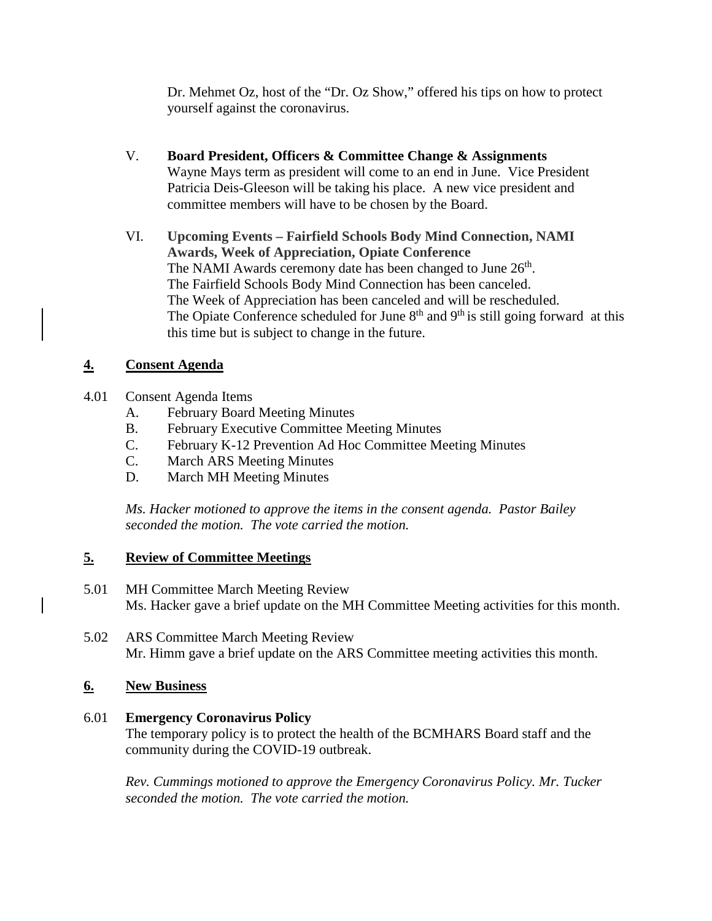Dr. Mehmet Oz, host of the "Dr. Oz Show," offered his tips on how to protect yourself against the coronavirus.

- V. **Board President, Officers & Committee Change & Assignments** Wayne Mays term as president will come to an end in June. Vice President Patricia Deis-Gleeson will be taking his place. A new vice president and committee members will have to be chosen by the Board.
- VI. **Upcoming Events – Fairfield Schools Body Mind Connection, NAMI Awards, Week of Appreciation, Opiate Conference** The NAMI Awards ceremony date has been changed to June 26<sup>th</sup>. The Fairfield Schools Body Mind Connection has been canceled. The Week of Appreciation has been canceled and will be rescheduled. The Opiate Conference scheduled for June  $8<sup>th</sup>$  and  $9<sup>th</sup>$  is still going forward at this this time but is subject to change in the future.

## **4. Consent Agenda**

- 4.01 Consent Agenda Items
	- A. February Board Meeting Minutes
	- B. February Executive Committee Meeting Minutes
	- C. February K-12 Prevention Ad Hoc Committee Meeting Minutes
	- **March ARS Meeting Minutes**
	- D. March MH Meeting Minutes

*Ms. Hacker motioned to approve the items in the consent agenda. Pastor Bailey seconded the motion. The vote carried the motion.*

## **5. Review of Committee Meetings**

- 5.01 MH Committee March Meeting Review Ms. Hacker gave a brief update on the MH Committee Meeting activities for this month.
- 5.02 ARS Committee March Meeting Review Mr. Himm gave a brief update on the ARS Committee meeting activities this month.

## **6. New Business**

## 6.01 **Emergency Coronavirus Policy**

The temporary policy is to protect the health of the BCMHARS Board staff and the community during the COVID-19 outbreak.

*Rev. Cummings motioned to approve the Emergency Coronavirus Policy. Mr. Tucker seconded the motion. The vote carried the motion.*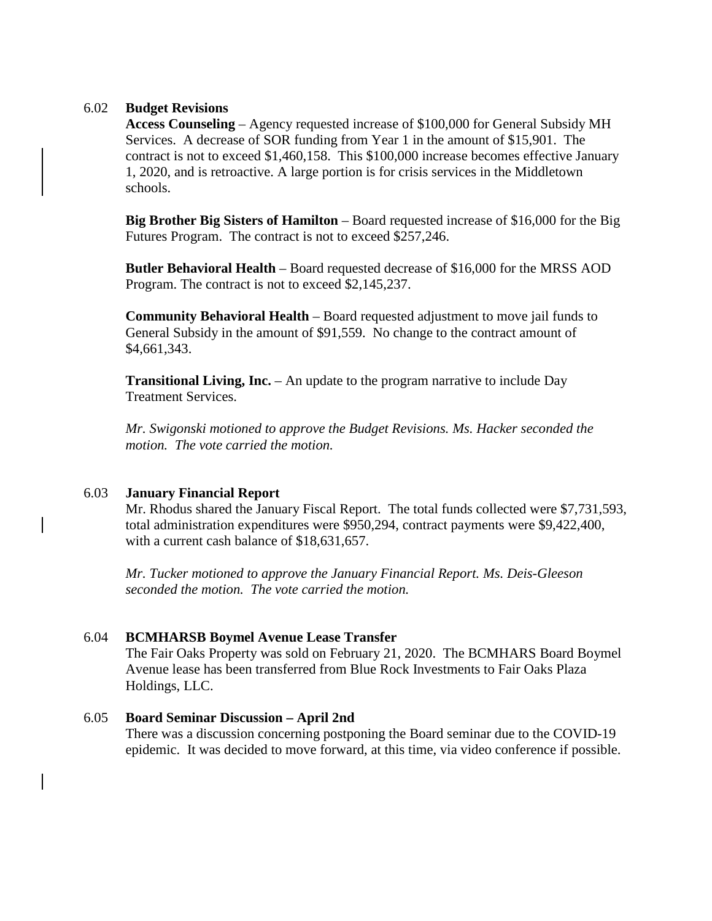#### 6.02 **Budget Revisions**

**Access Counseling** – Agency requested increase of \$100,000 for General Subsidy MH Services. A decrease of SOR funding from Year 1 in the amount of \$15,901. The contract is not to exceed \$1,460,158. This \$100,000 increase becomes effective January 1, 2020, and is retroactive. A large portion is for crisis services in the Middletown schools.

**Big Brother Big Sisters of Hamilton** – Board requested increase of \$16,000 for the Big Futures Program. The contract is not to exceed \$257,246.

**Butler Behavioral Health** – Board requested decrease of \$16,000 for the MRSS AOD Program. The contract is not to exceed \$2,145,237.

**Community Behavioral Health** – Board requested adjustment to move jail funds to General Subsidy in the amount of \$91,559. No change to the contract amount of \$4,661,343.

**Transitional Living, Inc.** – An update to the program narrative to include Day Treatment Services.

*Mr. Swigonski motioned to approve the Budget Revisions. Ms. Hacker seconded the motion. The vote carried the motion.*

#### 6.03 **January Financial Report**

Mr. Rhodus shared the January Fiscal Report. The total funds collected were \$7,731,593, total administration expenditures were \$950,294, contract payments were \$9,422,400, with a current cash balance of \$18,631,657.

*Mr. Tucker motioned to approve the January Financial Report. Ms. Deis-Gleeson seconded the motion. The vote carried the motion.*

#### 6.04 **BCMHARSB Boymel Avenue Lease Transfer**

The Fair Oaks Property was sold on February 21, 2020. The BCMHARS Board Boymel Avenue lease has been transferred from Blue Rock Investments to Fair Oaks Plaza Holdings, LLC.

#### 6.05 **Board Seminar Discussion – April 2nd**

There was a discussion concerning postponing the Board seminar due to the COVID-19 epidemic. It was decided to move forward, at this time, via video conference if possible.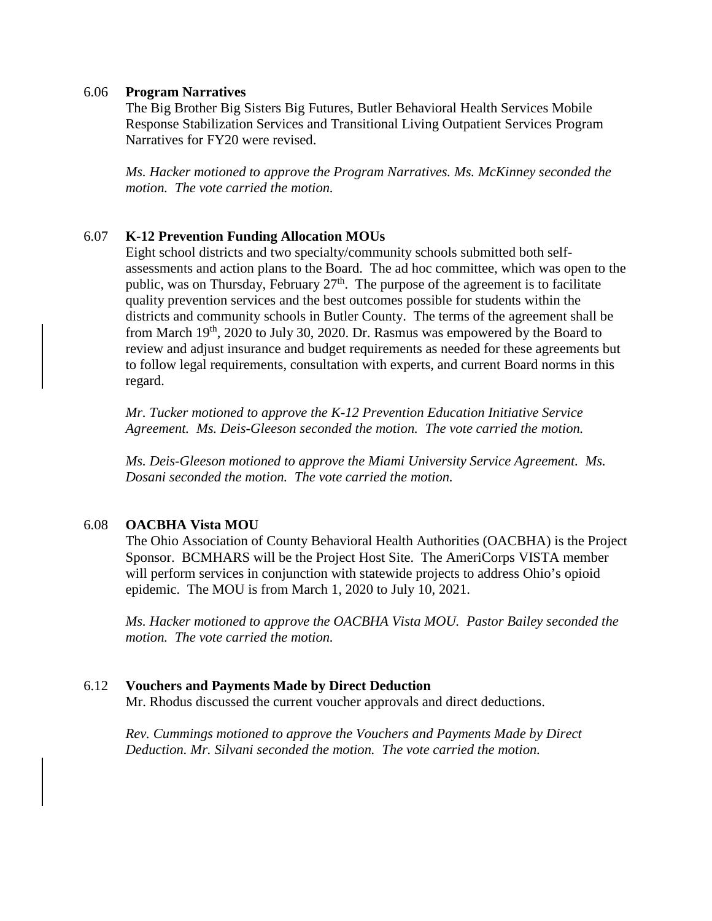#### 6.06 **Program Narratives**

The Big Brother Big Sisters Big Futures, Butler Behavioral Health Services Mobile Response Stabilization Services and Transitional Living Outpatient Services Program Narratives for FY20 were revised.

*Ms. Hacker motioned to approve the Program Narratives. Ms. McKinney seconded the motion. The vote carried the motion.*

### 6.07 **K-12 Prevention Funding Allocation MOUs**

Eight school districts and two specialty/community schools submitted both selfassessments and action plans to the Board. The ad hoc committee, which was open to the public, was on Thursday, February  $27<sup>th</sup>$ . The purpose of the agreement is to facilitate quality prevention services and the best outcomes possible for students within the districts and community schools in Butler County. The terms of the agreement shall be from March 19th, 2020 to July 30, 2020. Dr. Rasmus was empowered by the Board to review and adjust insurance and budget requirements as needed for these agreements but to follow legal requirements, consultation with experts, and current Board norms in this regard.

*Mr. Tucker motioned to approve the K-12 Prevention Education Initiative Service Agreement. Ms. Deis-Gleeson seconded the motion. The vote carried the motion.*

*Ms. Deis-Gleeson motioned to approve the Miami University Service Agreement. Ms. Dosani seconded the motion. The vote carried the motion.*

#### 6.08 **OACBHA Vista MOU**

The Ohio Association of County Behavioral Health Authorities (OACBHA) is the Project Sponsor. BCMHARS will be the Project Host Site. The AmeriCorps VISTA member will perform services in conjunction with statewide projects to address Ohio's opioid epidemic. The MOU is from March 1, 2020 to July 10, 2021.

*Ms. Hacker motioned to approve the OACBHA Vista MOU. Pastor Bailey seconded the motion. The vote carried the motion.*

#### 6.12 **Vouchers and Payments Made by Direct Deduction**

Mr. Rhodus discussed the current voucher approvals and direct deductions.

*Rev. Cummings motioned to approve the Vouchers and Payments Made by Direct Deduction. Mr. Silvani seconded the motion. The vote carried the motion.*